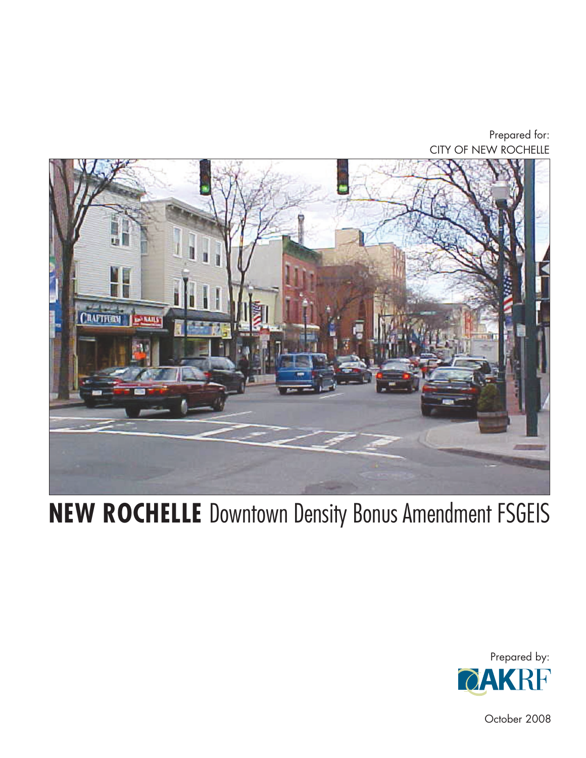Prepared for: CITY OF NEW ROCHELLE



# **NEW ROCHELLE** Downtown Density Bonus Amendment FSGEIS



October 2008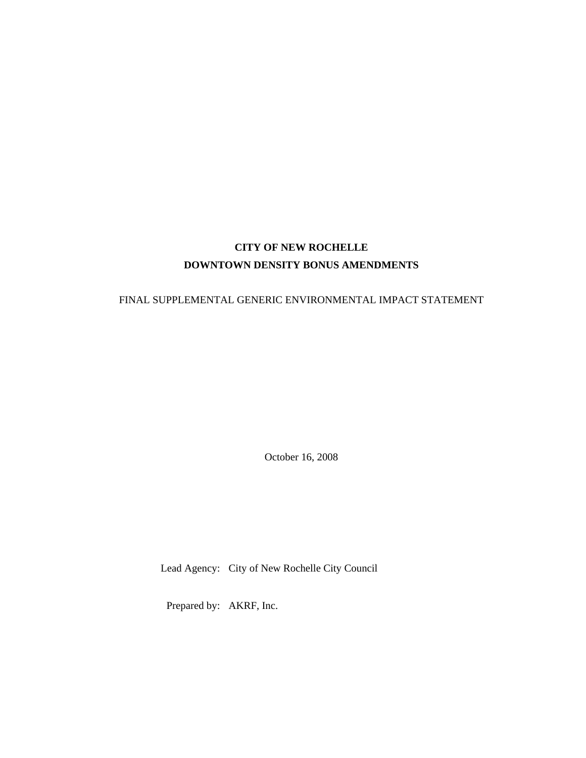# **CITY OF NEW ROCHELLE DOWNTOWN DENSITY BONUS AMENDMENTS**

### FINAL SUPPLEMENTAL GENERIC ENVIRONMENTAL IMPACT STATEMENT

October 16, 2008

Lead Agency: City of New Rochelle City Council

Prepared by: AKRF, Inc.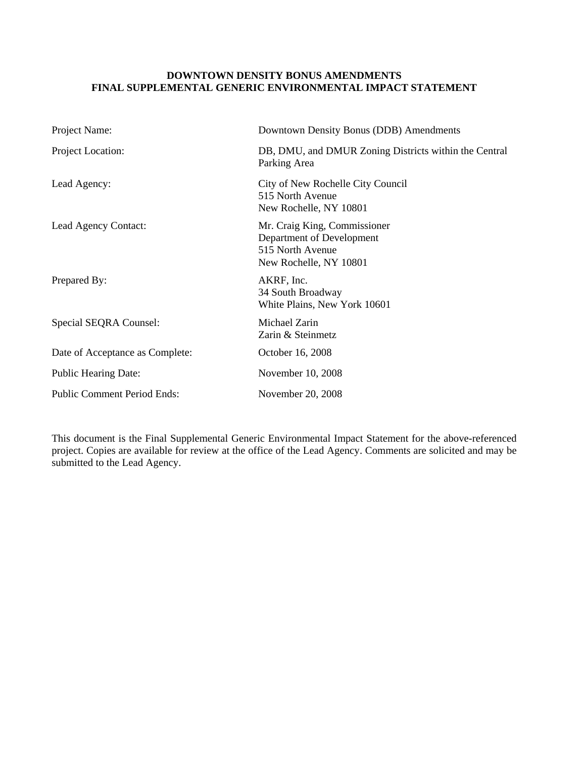#### **DOWNTOWN DENSITY BONUS AMENDMENTS FINAL SUPPLEMENTAL GENERIC ENVIRONMENTAL IMPACT STATEMENT**

| Project Name:                      | Downtown Density Bonus (DDB) Amendments                                                                 |
|------------------------------------|---------------------------------------------------------------------------------------------------------|
| Project Location:                  | DB, DMU, and DMUR Zoning Districts within the Central<br>Parking Area                                   |
| Lead Agency:                       | City of New Rochelle City Council<br>515 North Avenue<br>New Rochelle, NY 10801                         |
| Lead Agency Contact:               | Mr. Craig King, Commissioner<br>Department of Development<br>515 North Avenue<br>New Rochelle, NY 10801 |
| Prepared By:                       | AKRF, Inc.<br>34 South Broadway<br>White Plains, New York 10601                                         |
| Special SEQRA Counsel:             | Michael Zarin<br>Zarin & Steinmetz                                                                      |
| Date of Acceptance as Complete:    | October 16, 2008                                                                                        |
| <b>Public Hearing Date:</b>        | November 10, 2008                                                                                       |
| <b>Public Comment Period Ends:</b> | November 20, 2008                                                                                       |

This document is the Final Supplemental Generic Environmental Impact Statement for the above-referenced project. Copies are available for review at the office of the Lead Agency. Comments are solicited and may be submitted to the Lead Agency.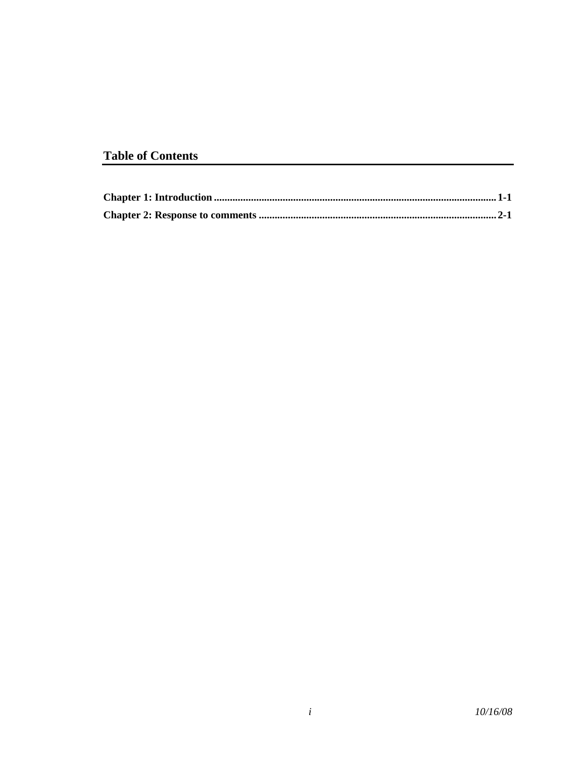# **Table of Contents**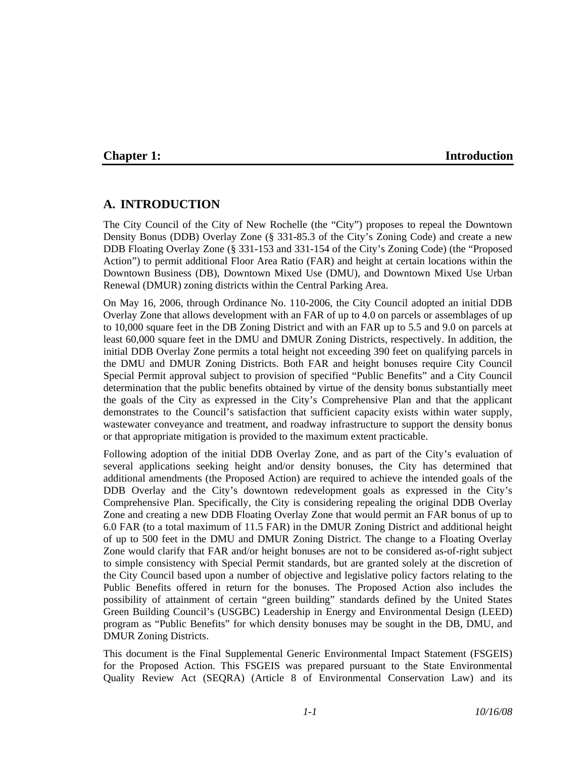### **Chapter 1:** Introduction

# **A. INTRODUCTION**

The City Council of the City of New Rochelle (the "City") proposes to repeal the Downtown Density Bonus (DDB) Overlay Zone (§ 331-85.3 of the City's Zoning Code) and create a new DDB Floating Overlay Zone (§ 331-153 and 331-154 of the City's Zoning Code) (the "Proposed Action") to permit additional Floor Area Ratio (FAR) and height at certain locations within the Downtown Business (DB), Downtown Mixed Use (DMU), and Downtown Mixed Use Urban Renewal (DMUR) zoning districts within the Central Parking Area.

On May 16, 2006, through Ordinance No. 110-2006, the City Council adopted an initial DDB Overlay Zone that allows development with an FAR of up to 4.0 on parcels or assemblages of up to 10,000 square feet in the DB Zoning District and with an FAR up to 5.5 and 9.0 on parcels at least 60,000 square feet in the DMU and DMUR Zoning Districts, respectively. In addition, the initial DDB Overlay Zone permits a total height not exceeding 390 feet on qualifying parcels in the DMU and DMUR Zoning Districts. Both FAR and height bonuses require City Council Special Permit approval subject to provision of specified "Public Benefits" and a City Council determination that the public benefits obtained by virtue of the density bonus substantially meet the goals of the City as expressed in the City's Comprehensive Plan and that the applicant demonstrates to the Council's satisfaction that sufficient capacity exists within water supply, wastewater conveyance and treatment, and roadway infrastructure to support the density bonus or that appropriate mitigation is provided to the maximum extent practicable.

Following adoption of the initial DDB Overlay Zone, and as part of the City's evaluation of several applications seeking height and/or density bonuses, the City has determined that additional amendments (the Proposed Action) are required to achieve the intended goals of the DDB Overlay and the City's downtown redevelopment goals as expressed in the City's Comprehensive Plan. Specifically, the City is considering repealing the original DDB Overlay Zone and creating a new DDB Floating Overlay Zone that would permit an FAR bonus of up to 6.0 FAR (to a total maximum of 11.5 FAR) in the DMUR Zoning District and additional height of up to 500 feet in the DMU and DMUR Zoning District. The change to a Floating Overlay Zone would clarify that FAR and/or height bonuses are not to be considered as-of-right subject to simple consistency with Special Permit standards, but are granted solely at the discretion of the City Council based upon a number of objective and legislative policy factors relating to the Public Benefits offered in return for the bonuses. The Proposed Action also includes the possibility of attainment of certain "green building" standards defined by the United States Green Building Council's (USGBC) Leadership in Energy and Environmental Design (LEED) program as "Public Benefits" for which density bonuses may be sought in the DB, DMU, and DMUR Zoning Districts.

This document is the Final Supplemental Generic Environmental Impact Statement (FSGEIS) for the Proposed Action. This FSGEIS was prepared pursuant to the State Environmental Quality Review Act (SEQRA) (Article 8 of Environmental Conservation Law) and its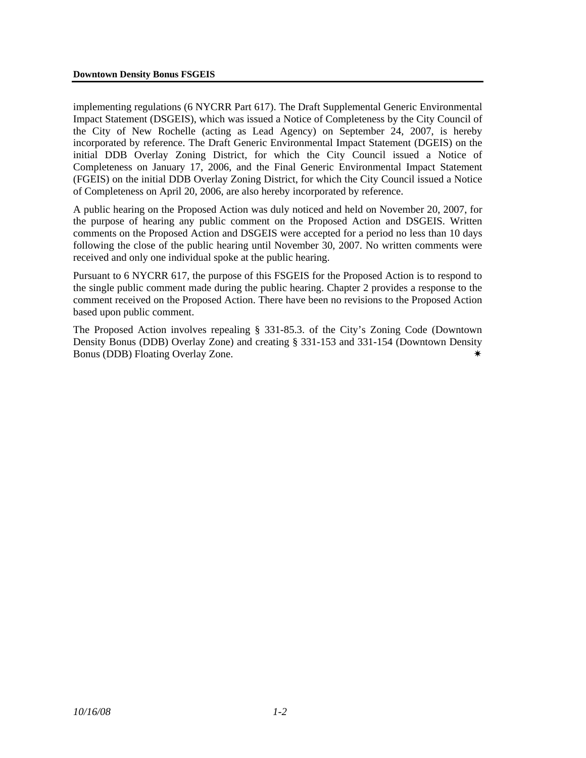implementing regulations (6 NYCRR Part 617). The Draft Supplemental Generic Environmental Impact Statement (DSGEIS), which was issued a Notice of Completeness by the City Council of the City of New Rochelle (acting as Lead Agency) on September 24, 2007, is hereby incorporated by reference. The Draft Generic Environmental Impact Statement (DGEIS) on the initial DDB Overlay Zoning District, for which the City Council issued a Notice of Completeness on January 17, 2006, and the Final Generic Environmental Impact Statement (FGEIS) on the initial DDB Overlay Zoning District, for which the City Council issued a Notice of Completeness on April 20, 2006, are also hereby incorporated by reference.

A public hearing on the Proposed Action was duly noticed and held on November 20, 2007, for the purpose of hearing any public comment on the Proposed Action and DSGEIS. Written comments on the Proposed Action and DSGEIS were accepted for a period no less than 10 days following the close of the public hearing until November 30, 2007. No written comments were received and only one individual spoke at the public hearing.

Pursuant to 6 NYCRR 617, the purpose of this FSGEIS for the Proposed Action is to respond to the single public comment made during the public hearing. Chapter 2 provides a response to the comment received on the Proposed Action. There have been no revisions to the Proposed Action based upon public comment.

The Proposed Action involves repealing § 331-85.3. of the City's Zoning Code (Downtown Density Bonus (DDB) Overlay Zone) and creating § 331-153 and 331-154 (Downtown Density Bonus (DDB) Floating Overlay Zone.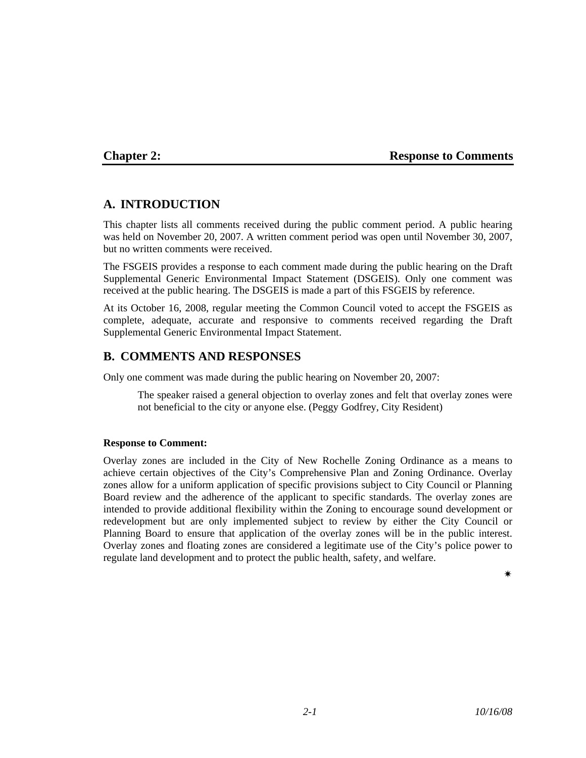### **Chapter 2:** Response to Comments

# **A. INTRODUCTION**

This chapter lists all comments received during the public comment period. A public hearing was held on November 20, 2007. A written comment period was open until November 30, 2007, but no written comments were received.

The FSGEIS provides a response to each comment made during the public hearing on the Draft Supplemental Generic Environmental Impact Statement (DSGEIS). Only one comment was received at the public hearing. The DSGEIS is made a part of this FSGEIS by reference.

At its October 16, 2008, regular meeting the Common Council voted to accept the FSGEIS as complete, adequate, accurate and responsive to comments received regarding the Draft Supplemental Generic Environmental Impact Statement.

## **B. COMMENTS AND RESPONSES**

Only one comment was made during the public hearing on November 20, 2007:

The speaker raised a general objection to overlay zones and felt that overlay zones were not beneficial to the city or anyone else. (Peggy Godfrey, City Resident)

#### **Response to Comment:**

Overlay zones are included in the City of New Rochelle Zoning Ordinance as a means to achieve certain objectives of the City's Comprehensive Plan and Zoning Ordinance. Overlay zones allow for a uniform application of specific provisions subject to City Council or Planning Board review and the adherence of the applicant to specific standards. The overlay zones are intended to provide additional flexibility within the Zoning to encourage sound development or redevelopment but are only implemented subject to review by either the City Council or Planning Board to ensure that application of the overlay zones will be in the public interest. Overlay zones and floating zones are considered a legitimate use of the City's police power to regulate land development and to protect the public health, safety, and welfare.

Ï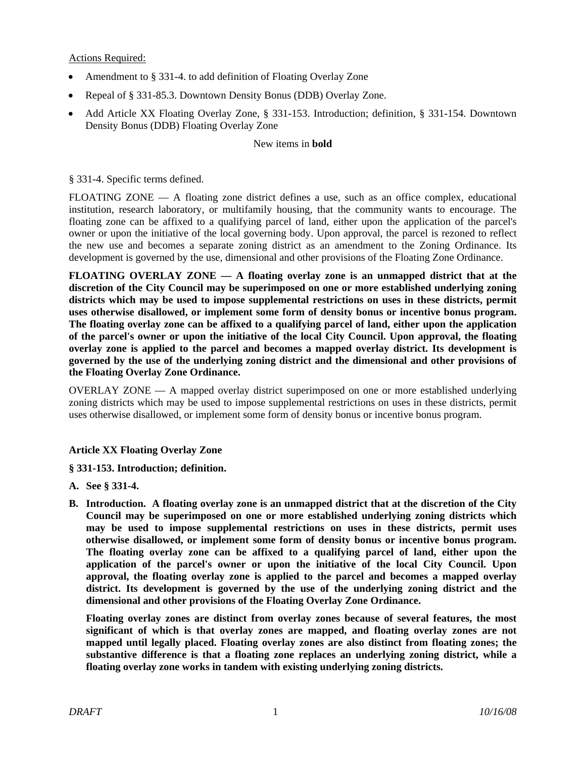Actions Required:

- Amendment to § 331-4. to add definition of Floating Overlay Zone
- Repeal of § 331-85.3. Downtown Density Bonus (DDB) Overlay Zone.
- Add Article XX Floating Overlay Zone, § 331-153. Introduction; definition, § 331-154. Downtown Density Bonus (DDB) Floating Overlay Zone

#### New items in **bold**

§ 331-4. Specific terms defined.

FLOATING ZONE — A floating zone district defines a use, such as an office complex, educational institution, research laboratory, or multifamily housing, that the community wants to encourage. The floating zone can be affixed to a qualifying parcel of land, either upon the application of the parcel's owner or upon the initiative of the local governing body. Upon approval, the parcel is rezoned to reflect the new use and becomes a separate zoning district as an amendment to the Zoning Ordinance. Its development is governed by the use, dimensional and other provisions of the Floating Zone Ordinance.

**FLOATING OVERLAY ZONE — A floating overlay zone is an unmapped district that at the discretion of the City Council may be superimposed on one or more established underlying zoning districts which may be used to impose supplemental restrictions on uses in these districts, permit uses otherwise disallowed, or implement some form of density bonus or incentive bonus program. The floating overlay zone can be affixed to a qualifying parcel of land, either upon the application of the parcel's owner or upon the initiative of the local City Council. Upon approval, the floating overlay zone is applied to the parcel and becomes a mapped overlay district. Its development is governed by the use of the underlying zoning district and the dimensional and other provisions of the Floating Overlay Zone Ordinance.** 

OVERLAY ZONE — A mapped overlay district superimposed on one or more established underlying zoning districts which may be used to impose supplemental restrictions on uses in these districts, permit uses otherwise disallowed, or implement some form of density bonus or incentive bonus program.

#### **Article XX Floating Overlay Zone**

#### **§ 331-153. Introduction; definition.**

- **A. See § 331-4.**
- **B. Introduction. A floating overlay zone is an unmapped district that at the discretion of the City Council may be superimposed on one or more established underlying zoning districts which may be used to impose supplemental restrictions on uses in these districts, permit uses otherwise disallowed, or implement some form of density bonus or incentive bonus program. The floating overlay zone can be affixed to a qualifying parcel of land, either upon the application of the parcel's owner or upon the initiative of the local City Council. Upon approval, the floating overlay zone is applied to the parcel and becomes a mapped overlay district. Its development is governed by the use of the underlying zoning district and the dimensional and other provisions of the Floating Overlay Zone Ordinance.**

**Floating overlay zones are distinct from overlay zones because of several features, the most significant of which is that overlay zones are mapped, and floating overlay zones are not mapped until legally placed. Floating overlay zones are also distinct from floating zones; the substantive difference is that a floating zone replaces an underlying zoning district, while a floating overlay zone works in tandem with existing underlying zoning districts.**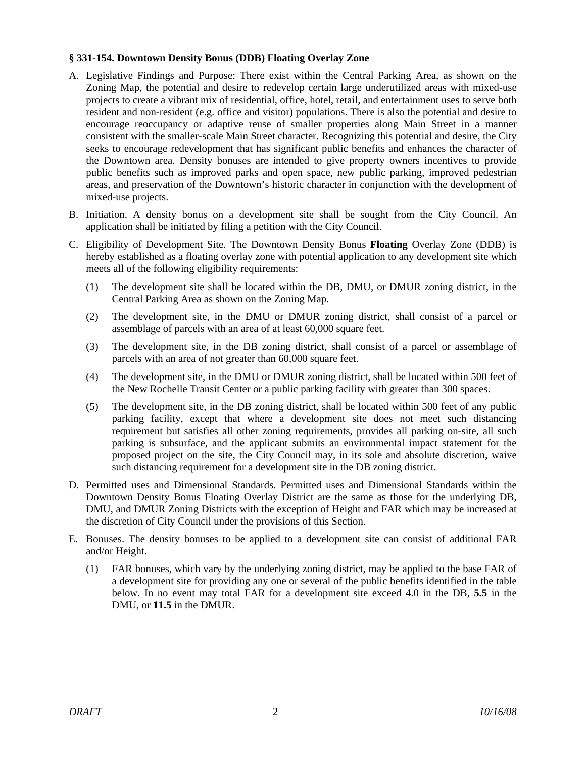#### **§ 331-154. Downtown Density Bonus (DDB) Floating Overlay Zone**

- A. Legislative Findings and Purpose: There exist within the Central Parking Area, as shown on the Zoning Map, the potential and desire to redevelop certain large underutilized areas with mixed-use projects to create a vibrant mix of residential, office, hotel, retail, and entertainment uses to serve both resident and non-resident (e.g. office and visitor) populations. There is also the potential and desire to encourage reoccupancy or adaptive reuse of smaller properties along Main Street in a manner consistent with the smaller-scale Main Street character. Recognizing this potential and desire, the City seeks to encourage redevelopment that has significant public benefits and enhances the character of the Downtown area. Density bonuses are intended to give property owners incentives to provide public benefits such as improved parks and open space, new public parking, improved pedestrian areas, and preservation of the Downtown's historic character in conjunction with the development of mixed-use projects.
- B. Initiation. A density bonus on a development site shall be sought from the City Council. An application shall be initiated by filing a petition with the City Council.
- C. Eligibility of Development Site. The Downtown Density Bonus **Floating** Overlay Zone (DDB) is hereby established as a floating overlay zone with potential application to any development site which meets all of the following eligibility requirements:
	- (1) The development site shall be located within the DB, DMU, or DMUR zoning district, in the Central Parking Area as shown on the Zoning Map.
	- (2) The development site, in the DMU or DMUR zoning district, shall consist of a parcel or assemblage of parcels with an area of at least 60,000 square feet.
	- (3) The development site, in the DB zoning district, shall consist of a parcel or assemblage of parcels with an area of not greater than 60,000 square feet.
	- (4) The development site, in the DMU or DMUR zoning district, shall be located within 500 feet of the New Rochelle Transit Center or a public parking facility with greater than 300 spaces.
	- (5) The development site, in the DB zoning district, shall be located within 500 feet of any public parking facility, except that where a development site does not meet such distancing requirement but satisfies all other zoning requirements, provides all parking on-site, all such parking is subsurface, and the applicant submits an environmental impact statement for the proposed project on the site, the City Council may, in its sole and absolute discretion, waive such distancing requirement for a development site in the DB zoning district.
- D. Permitted uses and Dimensional Standards. Permitted uses and Dimensional Standards within the Downtown Density Bonus Floating Overlay District are the same as those for the underlying DB, DMU, and DMUR Zoning Districts with the exception of Height and FAR which may be increased at the discretion of City Council under the provisions of this Section.
- E. Bonuses. The density bonuses to be applied to a development site can consist of additional FAR and/or Height.
	- (1) FAR bonuses, which vary by the underlying zoning district, may be applied to the base FAR of a development site for providing any one or several of the public benefits identified in the table below. In no event may total FAR for a development site exceed 4.0 in the DB, **5.5** in the DMU, or **11.5** in the DMUR.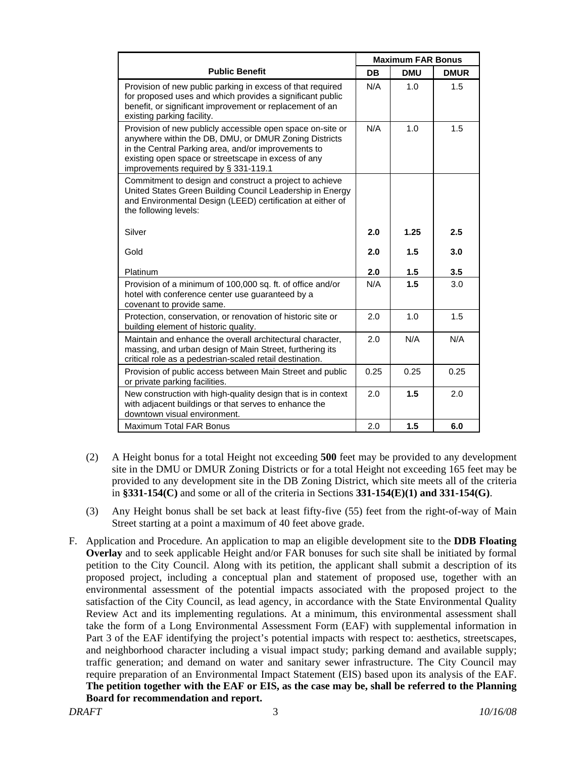|                                                                                                                                                                                                                                                                           |           | <b>Maximum FAR Bonus</b> |             |  |  |
|---------------------------------------------------------------------------------------------------------------------------------------------------------------------------------------------------------------------------------------------------------------------------|-----------|--------------------------|-------------|--|--|
| <b>Public Benefit</b>                                                                                                                                                                                                                                                     | <b>DB</b> | <b>DMU</b>               | <b>DMUR</b> |  |  |
| Provision of new public parking in excess of that required<br>for proposed uses and which provides a significant public<br>benefit, or significant improvement or replacement of an<br>existing parking facility.                                                         | N/A       | 1.0                      | 1.5         |  |  |
| Provision of new publicly accessible open space on-site or<br>anywhere within the DB, DMU, or DMUR Zoning Districts<br>in the Central Parking area, and/or improvements to<br>existing open space or streetscape in excess of any<br>improvements required by § 331-119.1 | N/A       | 1.0                      | 1.5         |  |  |
| Commitment to design and construct a project to achieve<br>United States Green Building Council Leadership in Energy<br>and Environmental Design (LEED) certification at either of<br>the following levels:                                                               |           |                          |             |  |  |
| Silver                                                                                                                                                                                                                                                                    | 2.0       | 1.25                     | 2.5         |  |  |
| Gold                                                                                                                                                                                                                                                                      | 2.0       | 1.5                      | 3.0         |  |  |
| Platinum                                                                                                                                                                                                                                                                  | 2.0       | 1.5                      | 3.5         |  |  |
| Provision of a minimum of 100,000 sq. ft. of office and/or<br>hotel with conference center use guaranteed by a<br>covenant to provide same.                                                                                                                               | N/A       | 1.5                      | 3.0         |  |  |
| Protection, conservation, or renovation of historic site or<br>building element of historic quality.                                                                                                                                                                      | 2.0       | 1.0                      | 1.5         |  |  |
| Maintain and enhance the overall architectural character,<br>massing, and urban design of Main Street, furthering its<br>critical role as a pedestrian-scaled retail destination.                                                                                         | 2.0       | N/A                      | N/A         |  |  |
| Provision of public access between Main Street and public<br>or private parking facilities.                                                                                                                                                                               | 0.25      | 0.25                     | 0.25        |  |  |
| New construction with high-quality design that is in context<br>with adjacent buildings or that serves to enhance the<br>downtown visual environment.                                                                                                                     | 2.0       | 1.5                      | 2.0         |  |  |
| <b>Maximum Total FAR Bonus</b>                                                                                                                                                                                                                                            | 2.0       | 1.5                      | 6.0         |  |  |

- (2) A Height bonus for a total Height not exceeding **500** feet may be provided to any development site in the DMU or DMUR Zoning Districts or for a total Height not exceeding 165 feet may be provided to any development site in the DB Zoning District, which site meets all of the criteria in **§331-154(C)** and some or all of the criteria in Sections **331-154(E)(1) and 331-154(G)**.
- (3) Any Height bonus shall be set back at least fifty-five (55) feet from the right-of-way of Main Street starting at a point a maximum of 40 feet above grade.
- F. Application and Procedure. An application to map an eligible development site to the **DDB Floating Overlay** and to seek applicable Height and/or FAR bonuses for such site shall be initiated by formal petition to the City Council. Along with its petition, the applicant shall submit a description of its proposed project, including a conceptual plan and statement of proposed use, together with an environmental assessment of the potential impacts associated with the proposed project to the satisfaction of the City Council, as lead agency, in accordance with the State Environmental Quality Review Act and its implementing regulations. At a minimum, this environmental assessment shall take the form of a Long Environmental Assessment Form (EAF) with supplemental information in Part 3 of the EAF identifying the project's potential impacts with respect to: aesthetics, streetscapes, and neighborhood character including a visual impact study; parking demand and available supply; traffic generation; and demand on water and sanitary sewer infrastructure. The City Council may require preparation of an Environmental Impact Statement (EIS) based upon its analysis of the EAF. **The petition together with the EAF or EIS, as the case may be, shall be referred to the Planning Board for recommendation and report.**